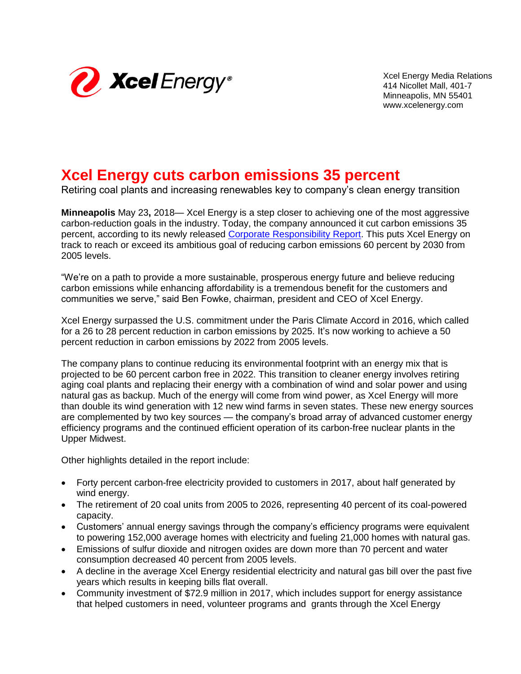

Xcel Energy Media Relations 414 Nicollet Mall, 401-7 Minneapolis, MN 55401 www.xcelenergy.com

## **Xcel Energy cuts carbon emissions 35 percent**

Retiring coal plants and increasing renewables key to company's clean energy transition

**Minneapolis** May 23**,** 2018— Xcel Energy is a step closer to achieving one of the most aggressive carbon-reduction goals in the industry. Today, the company announced it cut carbon emissions 35 percent, according to its newly released [Corporate Responsibility Report.](https://www.xcelenergy.com/company/corporate_responsibility_report) This puts Xcel Energy on track to reach or exceed its ambitious goal of reducing carbon emissions 60 percent by 2030 from 2005 levels.

"We're on a path to provide a more sustainable, prosperous energy future and believe reducing carbon emissions while enhancing affordability is a tremendous benefit for the customers and communities we serve," said Ben Fowke, chairman, president and CEO of Xcel Energy.

Xcel Energy surpassed the U.S. commitment under the Paris Climate Accord in 2016, which called for a 26 to 28 percent reduction in carbon emissions by 2025. It's now working to achieve a 50 percent reduction in carbon emissions by 2022 from 2005 levels.

The company plans to continue reducing its environmental footprint with an energy mix that is projected to be 60 percent carbon free in 2022. This transition to cleaner energy involves retiring aging coal plants and replacing their energy with a combination of wind and solar power and using natural gas as backup. Much of the energy will come from wind power, as Xcel Energy will more than double its wind generation with 12 new wind farms in seven states. These new energy sources are complemented by two key sources — the company's broad array of advanced customer energy efficiency programs and the continued efficient operation of its carbon-free nuclear plants in the Upper Midwest.

Other highlights detailed in the report include:

- Forty percent carbon-free electricity provided to customers in 2017, about half generated by wind energy.
- The retirement of 20 coal units from 2005 to 2026, representing 40 percent of its coal-powered capacity.
- Customers' annual energy savings through the company's efficiency programs were equivalent to powering 152,000 average homes with electricity and fueling 21,000 homes with natural gas.
- Emissions of sulfur dioxide and nitrogen oxides are down more than 70 percent and water consumption decreased 40 percent from 2005 levels.
- A decline in the average Xcel Energy residential electricity and natural gas bill over the past five years which results in keeping bills flat overall.
- Community investment of \$72.9 million in 2017, which includes support for energy assistance that helped customers in need, volunteer programs and grants through the Xcel Energy